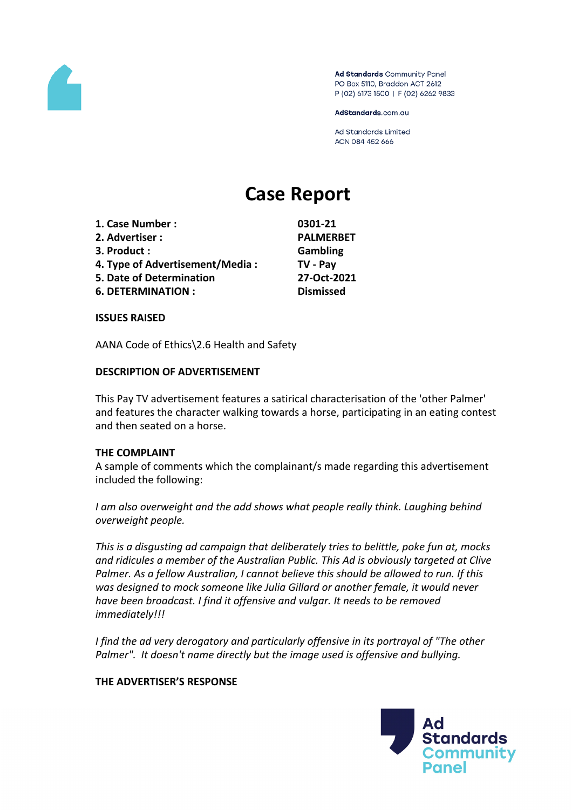

Ad Standards Community Panel PO Box 5110, Braddon ACT 2612 P (02) 6173 1500 | F (02) 6262 9833

AdStandards.com.au

**Ad Standards Limited** ACN 084 452 666

# **Case Report**

| 1. Case Number :                | 0301-21          |
|---------------------------------|------------------|
| 2. Advertiser:                  | <b>PALMERBET</b> |
| 3. Product:                     | Gambling         |
| 4. Type of Advertisement/Media: | TV - Pay         |
| 5. Date of Determination        | 27-Oct-2021      |
| <b>6. DETERMINATION:</b>        | <b>Dismissed</b> |
|                                 |                  |

**ISSUES RAISED**

AANA Code of Ethics\2.6 Health and Safety

#### **DESCRIPTION OF ADVERTISEMENT**

This Pay TV advertisement features a satirical characterisation of the 'other Palmer' and features the character walking towards a horse, participating in an eating contest and then seated on a horse.

#### **THE COMPLAINT**

A sample of comments which the complainant/s made regarding this advertisement included the following:

*I am also overweight and the add shows what people really think. Laughing behind overweight people.*

*This is a disgusting ad campaign that deliberately tries to belittle, poke fun at, mocks and ridicules a member of the Australian Public. This Ad is obviously targeted at Clive Palmer. As a fellow Australian, I cannot believe this should be allowed to run. If this was designed to mock someone like Julia Gillard or another female, it would never have been broadcast. I find it offensive and vulgar. It needs to be removed immediately!!!*

*I find the ad very derogatory and particularly offensive in its portrayal of "The other Palmer". It doesn't name directly but the image used is offensive and bullying.*

#### **THE ADVERTISER'S RESPONSE**

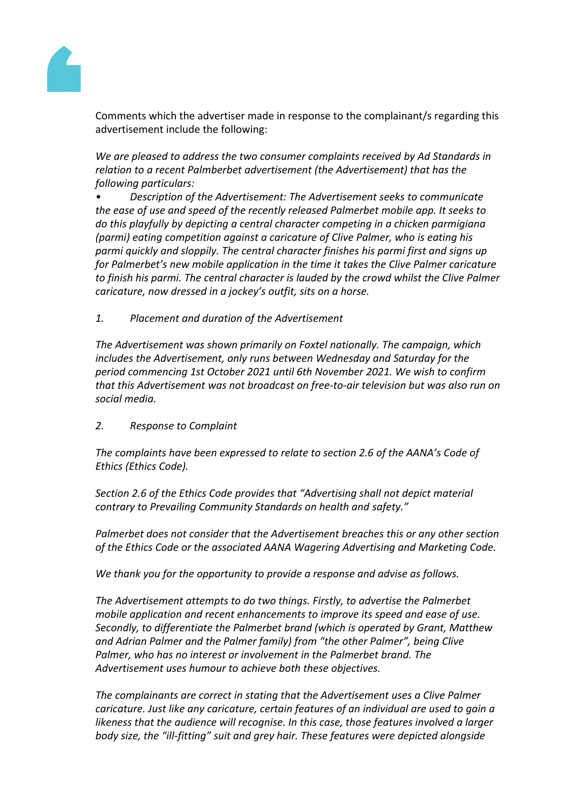

Comments which the advertiser made in response to the complainant/s regarding this advertisement include the following:

*We are pleased to address the two consumer complaints received by Ad Standards in relation to a recent Palmberbet advertisement (the Advertisement) that has the following particulars:*

*• Description of the Advertisement: The Advertisement seeks to communicate the ease of use and speed of the recently released Palmerbet mobile app. It seeks to do this playfully by depicting a central character competing in a chicken parmigiana (parmi) eating competition against a caricature of Clive Palmer, who is eating his parmi quickly and sloppily. The central character finishes his parmi first and signs up for Palmerbet's new mobile application in the time it takes the Clive Palmer caricature to finish his parmi. The central character is lauded by the crowd whilst the Clive Palmer caricature, now dressed in a jockey's outfit, sits on a horse.*

*1. Placement and duration of the Advertisement*

*The Advertisement was shown primarily on Foxtel nationally. The campaign, which includes the Advertisement, only runs between Wednesday and Saturday for the period commencing 1st October 2021 until 6th November 2021. We wish to confirm that this Advertisement was not broadcast on free-to-air television but was also run on social media.* 

*2. Response to Complaint*

*The complaints have been expressed to relate to section 2.6 of the AANA's Code of Ethics (Ethics Code).*

*Section 2.6 of the Ethics Code provides that "Advertising shall not depict material contrary to Prevailing Community Standards on health and safety."*

*Palmerbet does not consider that the Advertisement breaches this or any other section of the Ethics Code or the associated AANA Wagering Advertising and Marketing Code.*

*We thank you for the opportunity to provide a response and advise as follows.*

*The Advertisement attempts to do two things. Firstly, to advertise the Palmerbet mobile application and recent enhancements to improve its speed and ease of use. Secondly, to differentiate the Palmerbet brand (which is operated by Grant, Matthew and Adrian Palmer and the Palmer family) from "the other Palmer", being Clive Palmer, who has no interest or involvement in the Palmerbet brand. The Advertisement uses humour to achieve both these objectives.*

*The complainants are correct in stating that the Advertisement uses a Clive Palmer caricature. Just like any caricature, certain features of an individual are used to gain a likeness that the audience will recognise. In this case, those features involved a larger body size, the "ill-fitting" suit and grey hair. These features were depicted alongside*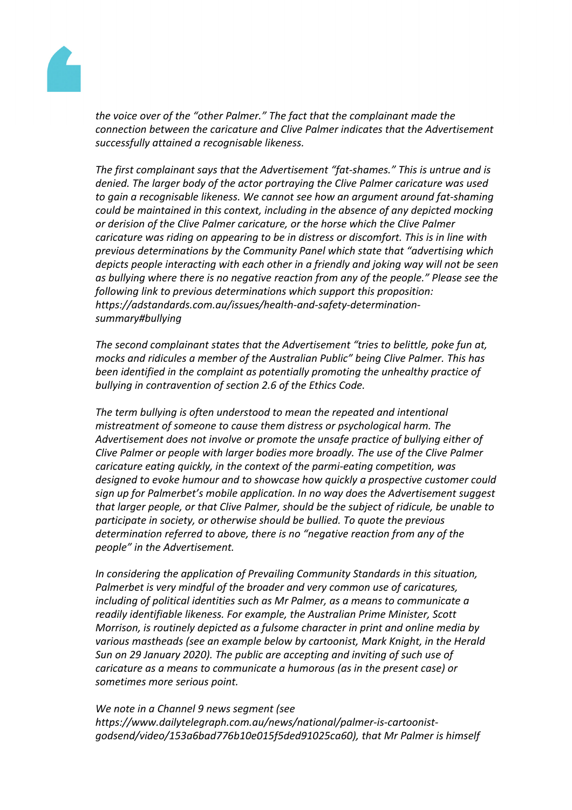

*the voice over of the "other Palmer." The fact that the complainant made the connection between the caricature and Clive Palmer indicates that the Advertisement successfully attained a recognisable likeness.*

*The first complainant says that the Advertisement "fat-shames." This is untrue and is denied. The larger body of the actor portraying the Clive Palmer caricature was used to gain a recognisable likeness. We cannot see how an argument around fat-shaming could be maintained in this context, including in the absence of any depicted mocking or derision of the Clive Palmer caricature, or the horse which the Clive Palmer caricature was riding on appearing to be in distress or discomfort. This is in line with previous determinations by the Community Panel which state that "advertising which depicts people interacting with each other in a friendly and joking way will not be seen as bullying where there is no negative reaction from any of the people." Please see the following link to previous determinations which support this proposition: https://adstandards.com.au/issues/health-and-safety-determinationsummary#bullying*

*The second complainant states that the Advertisement "tries to belittle, poke fun at, mocks and ridicules a member of the Australian Public" being Clive Palmer. This has been identified in the complaint as potentially promoting the unhealthy practice of bullying in contravention of section 2.6 of the Ethics Code.*

*The term bullying is often understood to mean the repeated and intentional mistreatment of someone to cause them distress or psychological harm. The Advertisement does not involve or promote the unsafe practice of bullying either of Clive Palmer or people with larger bodies more broadly. The use of the Clive Palmer caricature eating quickly, in the context of the parmi-eating competition, was designed to evoke humour and to showcase how quickly a prospective customer could sign up for Palmerbet's mobile application. In no way does the Advertisement suggest that larger people, or that Clive Palmer, should be the subject of ridicule, be unable to participate in society, or otherwise should be bullied. To quote the previous determination referred to above, there is no "negative reaction from any of the people" in the Advertisement.*

*In considering the application of Prevailing Community Standards in this situation, Palmerbet is very mindful of the broader and very common use of caricatures, including of political identities such as Mr Palmer, as a means to communicate a readily identifiable likeness. For example, the Australian Prime Minister, Scott Morrison, is routinely depicted as a fulsome character in print and online media by various mastheads (see an example below by cartoonist, Mark Knight, in the Herald Sun on 29 January 2020). The public are accepting and inviting of such use of caricature as a means to communicate a humorous (as in the present case) or sometimes more serious point.*

*We note in a Channel 9 news segment (see https://www.dailytelegraph.com.au/news/national/palmer-is-cartoonistgodsend/video/153a6bad776b10e015f5ded91025ca60), that Mr Palmer is himself*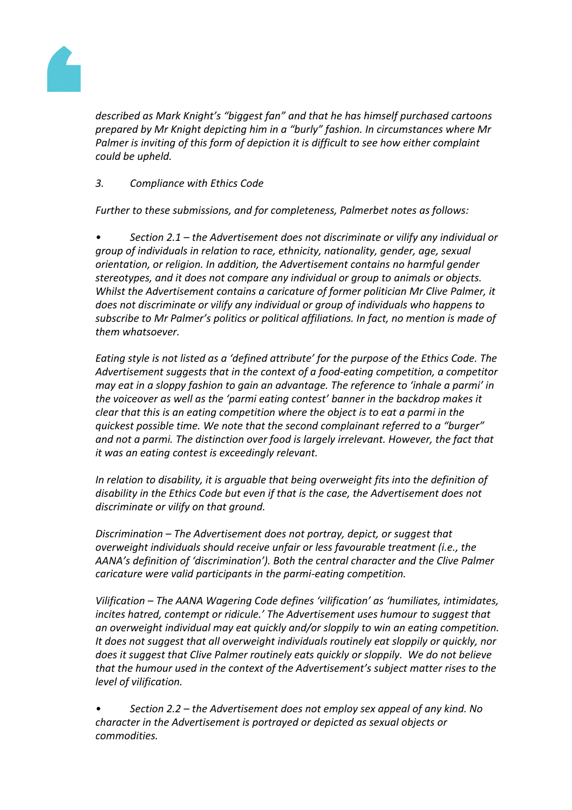

*described as Mark Knight's "biggest fan" and that he has himself purchased cartoons prepared by Mr Knight depicting him in a "burly" fashion. In circumstances where Mr Palmer is inviting of this form of depiction it is difficult to see how either complaint could be upheld.*

*3. Compliance with Ethics Code*

*Further to these submissions, and for completeness, Palmerbet notes as follows:*

*• Section 2.1 – the Advertisement does not discriminate or vilify any individual or group of individuals in relation to race, ethnicity, nationality, gender, age, sexual orientation, or religion. In addition, the Advertisement contains no harmful gender stereotypes, and it does not compare any individual or group to animals or objects. Whilst the Advertisement contains a caricature of former politician Mr Clive Palmer, it does not discriminate or vilify any individual or group of individuals who happens to subscribe to Mr Palmer's politics or political affiliations. In fact, no mention is made of them whatsoever.*

*Eating style is not listed as a 'defined attribute' for the purpose of the Ethics Code. The Advertisement suggests that in the context of a food-eating competition, a competitor may eat in a sloppy fashion to gain an advantage. The reference to 'inhale a parmi' in the voiceover as well as the 'parmi eating contest' banner in the backdrop makes it clear that this is an eating competition where the object is to eat a parmi in the quickest possible time. We note that the second complainant referred to a "burger" and not a parmi. The distinction over food is largely irrelevant. However, the fact that it was an eating contest is exceedingly relevant.*

*In relation to disability, it is arguable that being overweight fits into the definition of disability in the Ethics Code but even if that is the case, the Advertisement does not discriminate or vilify on that ground.*

*Discrimination – The Advertisement does not portray, depict, or suggest that overweight individuals should receive unfair or less favourable treatment (i.e., the AANA's definition of 'discrimination'). Both the central character and the Clive Palmer caricature were valid participants in the parmi-eating competition.*

*Vilification – The AANA Wagering Code defines 'vilification' as 'humiliates, intimidates, incites hatred, contempt or ridicule.' The Advertisement uses humour to suggest that an overweight individual may eat quickly and/or sloppily to win an eating competition. It does not suggest that all overweight individuals routinely eat sloppily or quickly, nor does it suggest that Clive Palmer routinely eats quickly or sloppily. We do not believe that the humour used in the context of the Advertisement's subject matter rises to the level of vilification.*

*• Section 2.2 – the Advertisement does not employ sex appeal of any kind. No character in the Advertisement is portrayed or depicted as sexual objects or commodities.*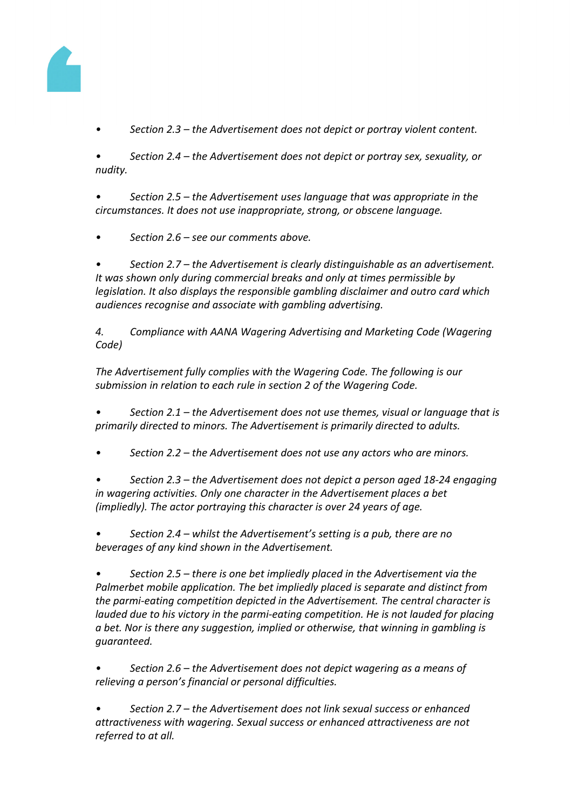

*• Section 2.3 – the Advertisement does not depict or portray violent content.*

*• Section 2.4 – the Advertisement does not depict or portray sex, sexuality, or nudity.*

*• Section 2.5 – the Advertisement uses language that was appropriate in the circumstances. It does not use inappropriate, strong, or obscene language.*

*• Section 2.6 – see our comments above.*

*• Section 2.7 – the Advertisement is clearly distinguishable as an advertisement. It was shown only during commercial breaks and only at times permissible by legislation. It also displays the responsible gambling disclaimer and outro card which audiences recognise and associate with gambling advertising.*

*4. Compliance with AANA Wagering Advertising and Marketing Code (Wagering Code)*

*The Advertisement fully complies with the Wagering Code. The following is our submission in relation to each rule in section 2 of the Wagering Code.*

*• Section 2.1 – the Advertisement does not use themes, visual or language that is primarily directed to minors. The Advertisement is primarily directed to adults.*

*• Section 2.2 – the Advertisement does not use any actors who are minors.*

*• Section 2.3 – the Advertisement does not depict a person aged 18-24 engaging in wagering activities. Only one character in the Advertisement places a bet (impliedly). The actor portraying this character is over 24 years of age.*

*• Section 2.4 – whilst the Advertisement's setting is a pub, there are no beverages of any kind shown in the Advertisement.*

*• Section 2.5 – there is one bet impliedly placed in the Advertisement via the Palmerbet mobile application. The bet impliedly placed is separate and distinct from the parmi-eating competition depicted in the Advertisement. The central character is lauded due to his victory in the parmi-eating competition. He is not lauded for placing a bet. Nor is there any suggestion, implied or otherwise, that winning in gambling is guaranteed.*

*• Section 2.6 – the Advertisement does not depict wagering as a means of relieving a person's financial or personal difficulties.*

*• Section 2.7 – the Advertisement does not link sexual success or enhanced attractiveness with wagering. Sexual success or enhanced attractiveness are not referred to at all.*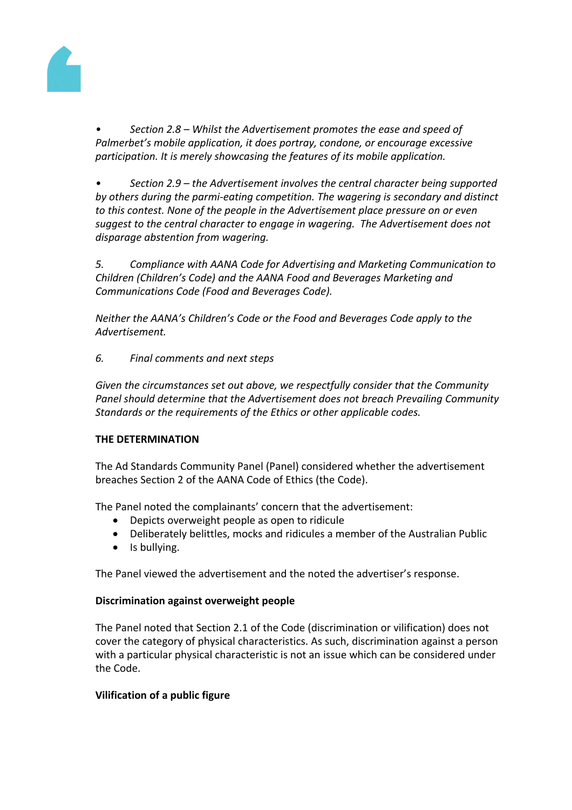

*• Section 2.8 – Whilst the Advertisement promotes the ease and speed of Palmerbet's mobile application, it does portray, condone, or encourage excessive participation. It is merely showcasing the features of its mobile application.*

*• Section 2.9 – the Advertisement involves the central character being supported by others during the parmi-eating competition. The wagering is secondary and distinct to this contest. None of the people in the Advertisement place pressure on or even suggest to the central character to engage in wagering. The Advertisement does not disparage abstention from wagering.*

*5. Compliance with AANA Code for Advertising and Marketing Communication to Children (Children's Code) and the AANA Food and Beverages Marketing and Communications Code (Food and Beverages Code).*

*Neither the AANA's Children's Code or the Food and Beverages Code apply to the Advertisement.*

## *6. Final comments and next steps*

*Given the circumstances set out above, we respectfully consider that the Community Panel should determine that the Advertisement does not breach Prevailing Community Standards or the requirements of the Ethics or other applicable codes.*

## **THE DETERMINATION**

The Ad Standards Community Panel (Panel) considered whether the advertisement breaches Section 2 of the AANA Code of Ethics (the Code).

The Panel noted the complainants' concern that the advertisement:

- Depicts overweight people as open to ridicule
- Deliberately belittles, mocks and ridicules a member of the Australian Public
- Is bullying.

The Panel viewed the advertisement and the noted the advertiser's response.

#### **Discrimination against overweight people**

The Panel noted that Section 2.1 of the Code (discrimination or vilification) does not cover the category of physical characteristics. As such, discrimination against a person with a particular physical characteristic is not an issue which can be considered under the Code.

## **Vilification of a public figure**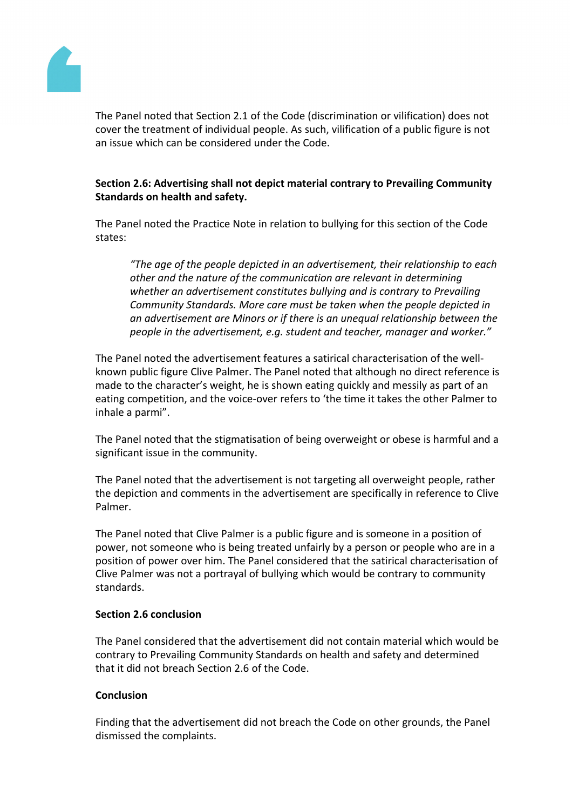

The Panel noted that Section 2.1 of the Code (discrimination or vilification) does not cover the treatment of individual people. As such, vilification of a public figure is not an issue which can be considered under the Code.

### **Section 2.6: Advertising shall not depict material contrary to Prevailing Community Standards on health and safety.**

The Panel noted the Practice Note in relation to bullying for this section of the Code states:

*"The age of the people depicted in an advertisement, their relationship to each other and the nature of the communication are relevant in determining whether an advertisement constitutes bullying and is contrary to Prevailing Community Standards. More care must be taken when the people depicted in an advertisement are Minors or if there is an unequal relationship between the people in the advertisement, e.g. student and teacher, manager and worker."*

The Panel noted the advertisement features a satirical characterisation of the wellknown public figure Clive Palmer. The Panel noted that although no direct reference is made to the character's weight, he is shown eating quickly and messily as part of an eating competition, and the voice-over refers to 'the time it takes the other Palmer to inhale a parmi".

The Panel noted that the stigmatisation of being overweight or obese is harmful and a significant issue in the community.

The Panel noted that the advertisement is not targeting all overweight people, rather the depiction and comments in the advertisement are specifically in reference to Clive Palmer.

The Panel noted that Clive Palmer is a public figure and is someone in a position of power, not someone who is being treated unfairly by a person or people who are in a position of power over him. The Panel considered that the satirical characterisation of Clive Palmer was not a portrayal of bullying which would be contrary to community standards.

#### **Section 2.6 conclusion**

The Panel considered that the advertisement did not contain material which would be contrary to Prevailing Community Standards on health and safety and determined that it did not breach Section 2.6 of the Code.

#### **Conclusion**

Finding that the advertisement did not breach the Code on other grounds, the Panel dismissed the complaints.